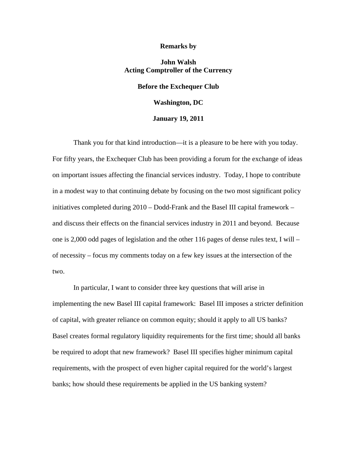#### **Remarks by**

## **John Walsh Acting Comptroller of the Currency**

# **Before the Exchequer Club**

### **Washington, DC**

### **January 19, 2011**

Thank you for that kind introduction—it is a pleasure to be here with you today. For fifty years, the Exchequer Club has been providing a forum for the exchange of ideas on important issues affecting the financial services industry. Today, I hope to contribute in a modest way to that continuing debate by focusing on the two most significant policy initiatives completed during 2010 – Dodd-Frank and the Basel III capital framework – and discuss their effects on the financial services industry in 2011 and beyond. Because one is 2,000 odd pages of legislation and the other 116 pages of dense rules text, I will – of necessity – focus my comments today on a few key issues at the intersection of the two.

In particular, I want to consider three key questions that will arise in implementing the new Basel III capital framework: Basel III imposes a stricter definition of capital, with greater reliance on common equity; should it apply to all US banks? Basel creates formal regulatory liquidity requirements for the first time; should all banks be required to adopt that new framework? Basel III specifies higher minimum capital requirements, with the prospect of even higher capital required for the world's largest banks; how should these requirements be applied in the US banking system?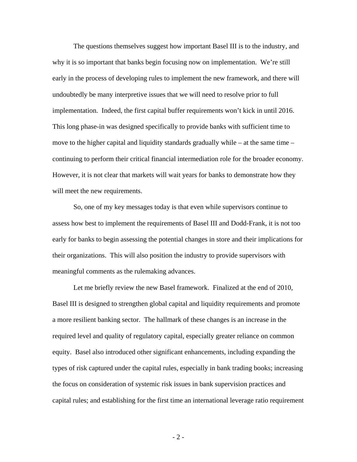The questions themselves suggest how important Basel III is to the industry, and why it is so important that banks begin focusing now on implementation. We're still early in the process of developing rules to implement the new framework, and there will undoubtedly be many interpretive issues that we will need to resolve prior to full implementation. Indeed, the first capital buffer requirements won't kick in until 2016. This long phase-in was designed specifically to provide banks with sufficient time to move to the higher capital and liquidity standards gradually while  $-$  at the same time  $$ continuing to perform their critical financial intermediation role for the broader economy. However, it is not clear that markets will wait years for banks to demonstrate how they will meet the new requirements.

So, one of my key messages today is that even while supervisors continue to assess how best to implement the requirements of Basel III and Dodd-Frank, it is not too early for banks to begin assessing the potential changes in store and their implications for their organizations. This will also position the industry to provide supervisors with meaningful comments as the rulemaking advances.

Let me briefly review the new Basel framework. Finalized at the end of 2010, Basel III is designed to strengthen global capital and liquidity requirements and promote a more resilient banking sector. The hallmark of these changes is an increase in the required level and quality of regulatory capital, especially greater reliance on common equity. Basel also introduced other significant enhancements, including expanding the types of risk captured under the capital rules, especially in bank trading books; increasing the focus on consideration of systemic risk issues in bank supervision practices and capital rules; and establishing for the first time an international leverage ratio requirement

- 2 -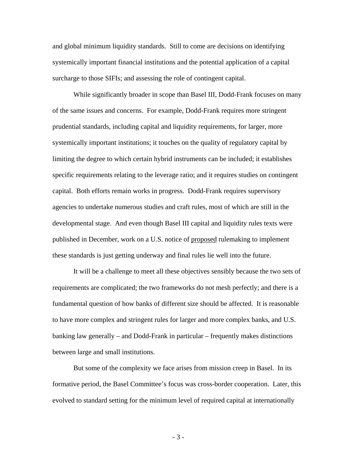and global minimum liquidity standards. Still to come are decisions on identifying systemically important financial institutions and the potential application of a capital surcharge to those SIFIs; and assessing the role of contingent capital.

 While significantly broader in scope than Basel III, Dodd-Frank focuses on many of the same issues and concerns. For example, Dodd-Frank requires more stringent prudential standards, including capital and liquidity requirements, for larger, more systemically important institutions; it touches on the quality of regulatory capital by limiting the degree to which certain hybrid instruments can be included; it establishes specific requirements relating to the leverage ratio; and it requires studies on contingent capital. Both efforts remain works in progress. Dodd-Frank requires supervisory agencies to undertake numerous studies and craft rules, most of which are still in the developmental stage. And even though Basel III capital and liquidity rules texts were published in December, work on a U.S. notice of proposed rulemaking to implement these standards is just getting underway and final rules lie well into the future.

 It will be a challenge to meet all these objectives sensibly because the two sets of requirements are complicated; the two frameworks do not mesh perfectly; and there is a fundamental question of how banks of different size should be affected. It is reasonable to have more complex and stringent rules for larger and more complex banks, and U.S. banking law generally – and Dodd-Frank in particular – frequently makes distinctions between large and small institutions.

But some of the complexity we face arises from mission creep in Basel. In its formative period, the Basel Committee's focus was cross-border cooperation. Later, this evolved to standard setting for the minimum level of required capital at internationally

- 3 -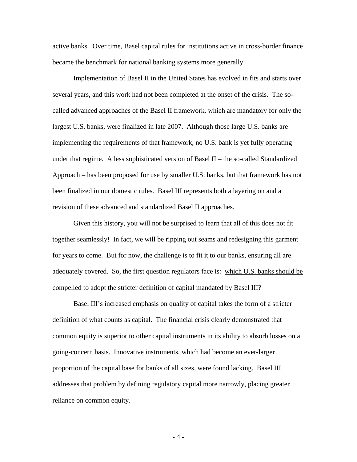active banks. Over time, Basel capital rules for institutions active in cross-border finance became the benchmark for national banking systems more generally.

 Implementation of Basel II in the United States has evolved in fits and starts over several years, and this work had not been completed at the onset of the crisis. The socalled advanced approaches of the Basel II framework, which are mandatory for only the largest U.S. banks, were finalized in late 2007. Although those large U.S. banks are implementing the requirements of that framework, no U.S. bank is yet fully operating under that regime. A less sophisticated version of Basel II – the so-called Standardized Approach – has been proposed for use by smaller U.S. banks, but that framework has not been finalized in our domestic rules. Basel III represents both a layering on and a revision of these advanced and standardized Basel II approaches.

Given this history, you will not be surprised to learn that all of this does not fit together seamlessly! In fact, we will be ripping out seams and redesigning this garment for years to come. But for now, the challenge is to fit it to our banks, ensuring all are adequately covered. So, the first question regulators face is: which U.S. banks should be compelled to adopt the stricter definition of capital mandated by Basel III?

Basel III's increased emphasis on quality of capital takes the form of a stricter definition of what counts as capital. The financial crisis clearly demonstrated that common equity is superior to other capital instruments in its ability to absorb losses on a going-concern basis. Innovative instruments, which had become an ever-larger proportion of the capital base for banks of all sizes, were found lacking. Basel III addresses that problem by defining regulatory capital more narrowly, placing greater reliance on common equity.

- 4 -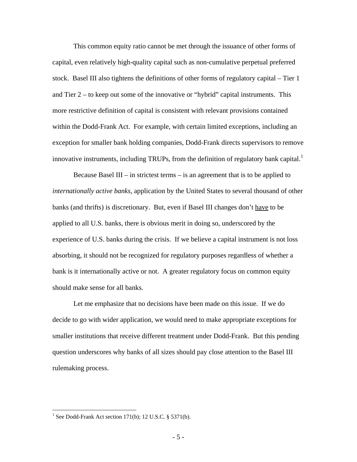This common equity ratio cannot be met through the issuance of other forms of capital, even relatively high-quality capital such as non-cumulative perpetual preferred stock. Basel III also tightens the definitions of other forms of regulatory capital – Tier 1 and Tier 2 – to keep out some of the innovative or "hybrid" capital instruments. This more restrictive definition of capital is consistent with relevant provisions contained within the Dodd-Frank Act. For example, with certain limited exceptions, including an exception for smaller bank holding companies, Dodd-Frank directs supervisors to remove innovative instruments, including TRUPs, from the definition of regulatory bank capital.<sup>[1](#page-4-0)</sup>

 Because Basel III – in strictest terms – is an agreement that is to be applied to *internationally active banks*, application by the United States to several thousand of other banks (and thrifts) is discretionary. But, even if Basel III changes don't have to be applied to all U.S. banks, there is obvious merit in doing so, underscored by the experience of U.S. banks during the crisis. If we believe a capital instrument is not loss absorbing, it should not be recognized for regulatory purposes regardless of whether a bank is it internationally active or not. A greater regulatory focus on common equity should make sense for all banks.

 Let me emphasize that no decisions have been made on this issue. If we do decide to go with wider application, we would need to make appropriate exceptions for smaller institutions that receive different treatment under Dodd-Frank. But this pending question underscores why banks of all sizes should pay close attention to the Basel III rulemaking process.

 $\overline{a}$ 

<span id="page-4-0"></span><sup>&</sup>lt;sup>1</sup> See Dodd-Frank Act section 171(b); 12 U.S.C.  $\S$  5371(b).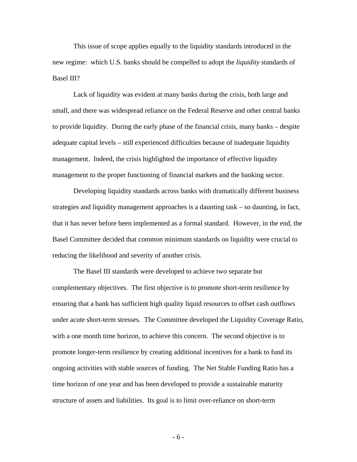This issue of scope applies equally to the liquidity standards introduced in the new regime: which U.S. banks should be compelled to adopt the *liquidity* standards of Basel III?

Lack of liquidity was evident at many banks during the crisis, both large and small, and there was widespread reliance on the Federal Reserve and other central banks to provide liquidity. During the early phase of the financial crisis, many banks – despite adequate capital levels – still experienced difficulties because of inadequate liquidity management. Indeed, the crisis highlighted the importance of effective liquidity management to the proper functioning of financial markets and the banking sector.

 Developing liquidity standards across banks with dramatically different business strategies and liquidity management approaches is a daunting task – so daunting, in fact, that it has never before been implemented as a formal standard. However, in the end, the Basel Committee decided that common minimum standards on liquidity were crucial to reducing the likelihood and severity of another crisis.

The Basel III standards were developed to achieve two separate but complementary objectives. The first objective is to promote short-term resilience by ensuring that a bank has sufficient high quality liquid resources to offset cash outflows under acute short-term stresses. The Committee developed the Liquidity Coverage Ratio, with a one month time horizon, to achieve this concern. The second objective is to promote longer-term resilience by creating additional incentives for a bank to fund its ongoing activities with stable sources of funding. The Net Stable Funding Ratio has a time horizon of one year and has been developed to provide a sustainable maturity structure of assets and liabilities. Its goal is to limit over-reliance on short-term

- 6 -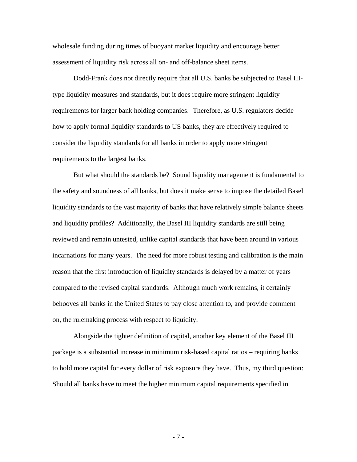wholesale funding during times of buoyant market liquidity and encourage better assessment of liquidity risk across all on- and off-balance sheet items.

 Dodd-Frank does not directly require that all U.S. banks be subjected to Basel IIItype liquidity measures and standards, but it does require more stringent liquidity requirements for larger bank holding companies. Therefore, as U.S. regulators decide how to apply formal liquidity standards to US banks, they are effectively required to consider the liquidity standards for all banks in order to apply more stringent requirements to the largest banks.

 But what should the standards be? Sound liquidity management is fundamental to the safety and soundness of all banks, but does it make sense to impose the detailed Basel liquidity standards to the vast majority of banks that have relatively simple balance sheets and liquidity profiles? Additionally, the Basel III liquidity standards are still being reviewed and remain untested, unlike capital standards that have been around in various incarnations for many years. The need for more robust testing and calibration is the main reason that the first introduction of liquidity standards is delayed by a matter of years compared to the revised capital standards. Although much work remains, it certainly behooves all banks in the United States to pay close attention to, and provide comment on, the rulemaking process with respect to liquidity.

 Alongside the tighter definition of capital, another key element of the Basel III package is a substantial increase in minimum risk-based capital ratios – requiring banks to hold more capital for every dollar of risk exposure they have. Thus, my third question: Should all banks have to meet the higher minimum capital requirements specified in

- 7 -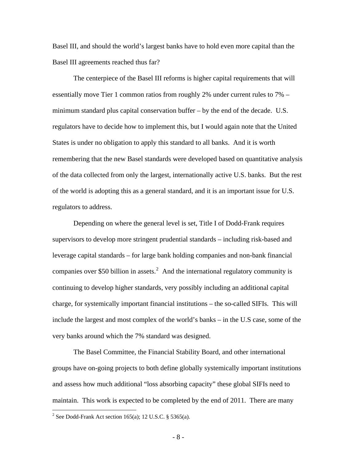Basel III, and should the world's largest banks have to hold even more capital than the Basel III agreements reached thus far?

 The centerpiece of the Basel III reforms is higher capital requirements that will essentially move Tier 1 common ratios from roughly 2% under current rules to 7% – minimum standard plus capital conservation buffer – by the end of the decade. U.S. regulators have to decide how to implement this, but I would again note that the United States is under no obligation to apply this standard to all banks. And it is worth remembering that the new Basel standards were developed based on quantitative analysis of the data collected from only the largest, internationally active U.S. banks. But the rest of the world is adopting this as a general standard, and it is an important issue for U.S. regulators to address.

 Depending on where the general level is set, Title I of Dodd-Frank requires supervisors to develop more stringent prudential standards – including risk-based and leverage capital standards – for large bank holding companies and non-bank financial companies over \$50 billion in assets.<sup>[2](#page-7-0)</sup> And the international regulatory community is continuing to develop higher standards, very possibly including an additional capital charge, for systemically important financial institutions – the so-called SIFIs. This will include the largest and most complex of the world's banks – in the U.S case, some of the very banks around which the 7% standard was designed.

The Basel Committee, the Financial Stability Board, and other international groups have on-going projects to both define globally systemically important institutions and assess how much additional "loss absorbing capacity" these global SIFIs need to maintain. This work is expected to be completed by the end of 2011. There are many

 $\overline{a}$ 

<span id="page-7-0"></span><sup>&</sup>lt;sup>2</sup> See Dodd-Frank Act section 165(a); 12 U.S.C. § 5365(a).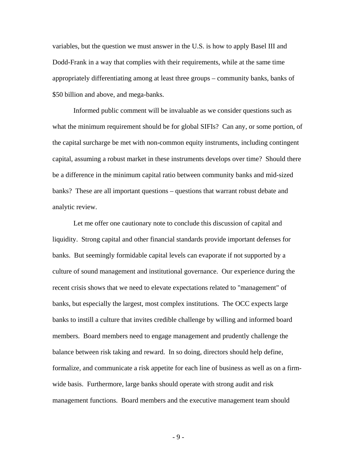variables, but the question we must answer in the U.S. is how to apply Basel III and Dodd-Frank in a way that complies with their requirements, while at the same time appropriately differentiating among at least three groups – community banks, banks of \$50 billion and above, and mega-banks.

Informed public comment will be invaluable as we consider questions such as what the minimum requirement should be for global SIFIs? Can any, or some portion, of the capital surcharge be met with non-common equity instruments, including contingent capital, assuming a robust market in these instruments develops over time? Should there be a difference in the minimum capital ratio between community banks and mid-sized banks? These are all important questions – questions that warrant robust debate and analytic review.

 Let me offer one cautionary note to conclude this discussion of capital and liquidity. Strong capital and other financial standards provide important defenses for banks. But seemingly formidable capital levels can evaporate if not supported by a culture of sound management and institutional governance. Our experience during the recent crisis shows that we need to elevate expectations related to "management" of banks, but especially the largest, most complex institutions. The OCC expects large banks to instill a culture that invites credible challenge by willing and informed board members. Board members need to engage management and prudently challenge the balance between risk taking and reward. In so doing, directors should help define, formalize, and communicate a risk appetite for each line of business as well as on a firmwide basis. Furthermore, large banks should operate with strong audit and risk management functions. Board members and the executive management team should

- 9 -